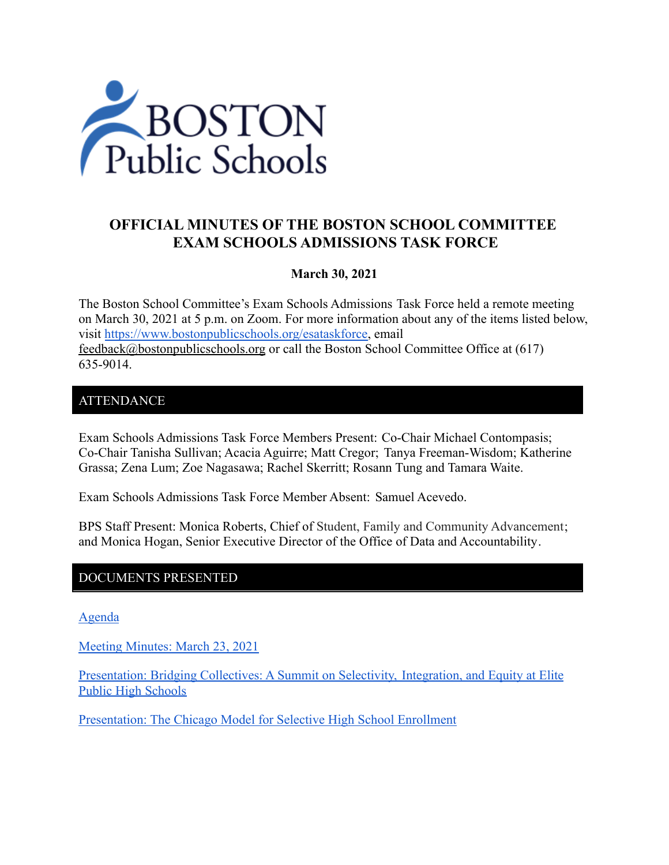

# **OFFICIAL MINUTES OF THE BOSTON SCHOOL COMMITTEE EXAM SCHOOLS ADMISSIONS TASK FORCE**

#### **March 30, 2021**

The Boston School Committee's Exam Schools Admissions Task Force held a remote meeting on March 30, 2021 at 5 p.m. on Zoom. For more information about any of the items listed below, visit [https://www.bostonpublicschools.org/esataskforce,](https://www.bostonpublicschools.org/esataskforce) email [feedback@bostonpublicschools.org](mailto:feedback@bostonpublicschools.org) or call the Boston School Committee Office at (617) 635-9014.

#### ATTENDANCE

Exam Schools Admissions Task Force Members Present: Co-Chair Michael Contompasis; Co-Chair Tanisha Sullivan; Acacia Aguirre; Matt Cregor; Tanya Freeman-Wisdom; Katherine Grassa; Zena Lum; Zoe Nagasawa; Rachel Skerritt; Rosann Tung and Tamara Waite.

Exam Schools Admissions Task Force Member Absent: Samuel Acevedo.

BPS Staff Present: Monica Roberts, Chief of Student, Family and Community Advancement; and Monica Hogan, Senior Executive Director of the Office of Data and Accountability.

#### DOCUMENTS PRESENTED

[Agenda](https://www.boston.gov/public-notices/14774311)

[Meeting Minutes: March 23, 2021](https://www.bostonpublicschools.org/cms/lib/MA01906464/Centricity/Domain/2931/Minutes%203%2023%2021%20Exam%20School%20Admission%20TF%20Meeting.pdf)

Presentation: [Bridging Collectives: A Summit on Selectivity,](https://www.bostonpublicschools.org/cms/lib/MA01906464/Centricity/Domain/2931/Century%20Foundation%20PPT.pdf) Integration, and Equity at Elite [Public High Schools](https://www.bostonpublicschools.org/cms/lib/MA01906464/Centricity/Domain/2931/Century%20Foundation%20PPT.pdf)

[Presentation: The Chicago Model for Selective High](https://www.bostonpublicschools.org/cms/lib/MA01906464/Centricity/Domain/2931/Boston%20Exams%20Schools%20Task%20Force%2033021.ppt.pdf) School Enrollment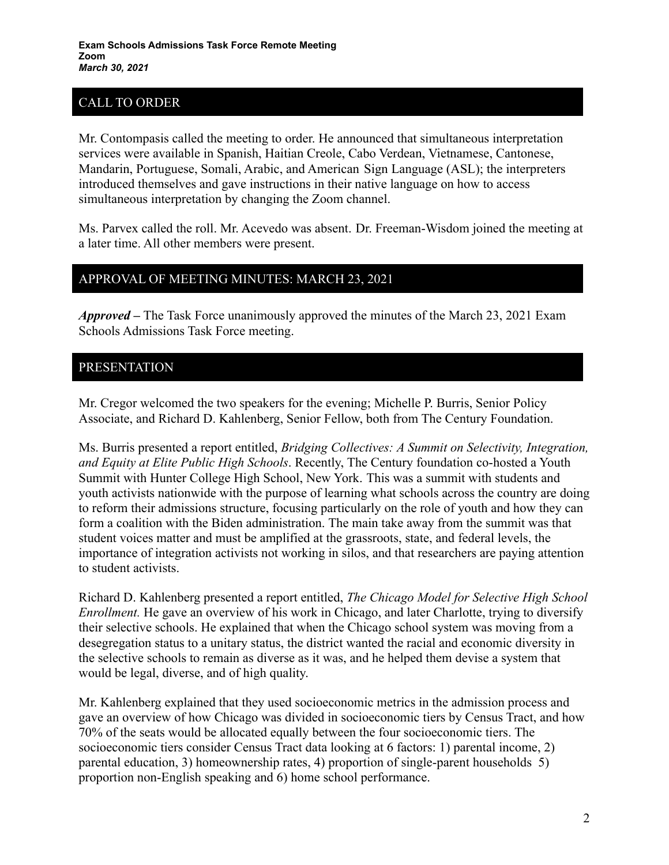# CALL TO ORDER

Mr. Contompasis called the meeting to order. He announced that simultaneous interpretation services were available in Spanish, Haitian Creole, Cabo Verdean, Vietnamese, Cantonese, Mandarin, Portuguese, Somali, Arabic, and American Sign Language (ASL); the interpreters introduced themselves and gave instructions in their native language on how to access simultaneous interpretation by changing the Zoom channel.

Ms. Parvex called the roll. Mr. Acevedo was absent. Dr. Freeman-Wisdom joined the meeting at a later time. All other members were present.

### APPROVAL OF MEETING MINUTES: MARCH 23, 2021

*Approved –* The Task Force unanimously approved the minutes of the March 23, 2021 Exam Schools Admissions Task Force meeting.

### PRESENTATION

Mr. Cregor welcomed the two speakers for the evening; Michelle P. Burris, Senior Policy Associate, and Richard D. Kahlenberg, Senior Fellow, both from The Century Foundation.

Ms. Burris presented a report entitled, *Bridging Collectives: A Summit on Selectivity, Integration, and Equity at Elite Public High Schools*. Recently, The Century foundation co-hosted a Youth Summit with Hunter College High School, New York. This was a summit with students and youth activists nationwide with the purpose of learning what schools across the country are doing to reform their admissions structure, focusing particularly on the role of youth and how they can form a coalition with the Biden administration. The main take away from the summit was that student voices matter and must be amplified at the grassroots, state, and federal levels, the importance of integration activists not working in silos, and that researchers are paying attention to student activists.

Richard D. Kahlenberg presented a report entitled, *The Chicago Model for Selective High School Enrollment.* He gave an overview of his work in Chicago, and later Charlotte, trying to diversify their selective schools. He explained that when the Chicago school system was moving from a desegregation status to a unitary status, the district wanted the racial and economic diversity in the selective schools to remain as diverse as it was, and he helped them devise a system that would be legal, diverse, and of high quality.

Mr. Kahlenberg explained that they used socioeconomic metrics in the admission process and gave an overview of how Chicago was divided in socioeconomic tiers by Census Tract, and how 70% of the seats would be allocated equally between the four socioeconomic tiers. The socioeconomic tiers consider Census Tract data looking at 6 factors: 1) parental income, 2) parental education, 3) homeownership rates, 4) proportion of single-parent households 5) proportion non-English speaking and 6) home school performance.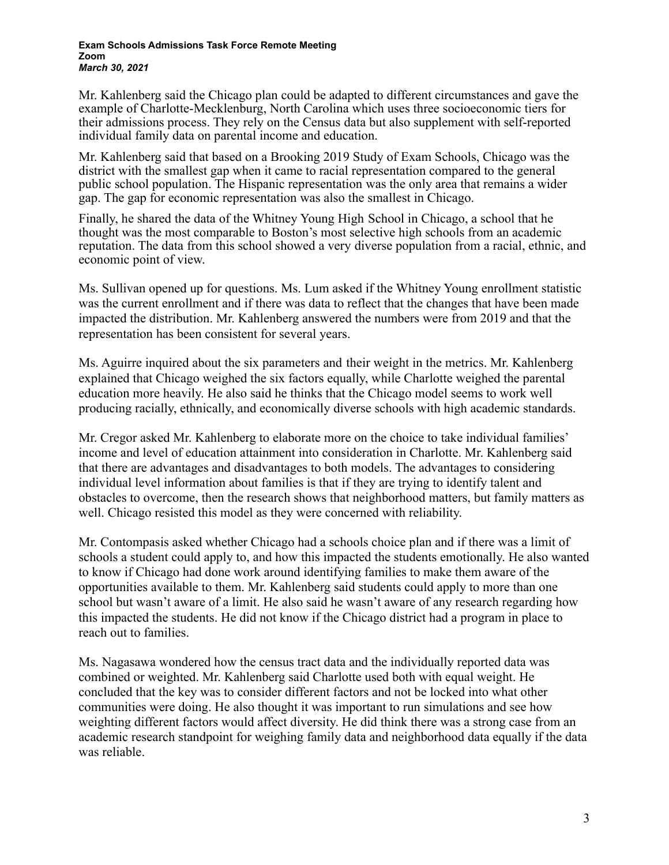#### **Exam Schools Admissions Task Force Remote Meeting Zoom** *March 30, 2021*

Mr. Kahlenberg said the Chicago plan could be adapted to different circumstances and gave the example of Charlotte-Mecklenburg, North Carolina which uses three socioeconomic tiers for their admissions process. They rely on the Census data but also supplement with self-reported individual family data on parental income and education.

Mr. Kahlenberg said that based on a Brooking 2019 Study of Exam Schools, Chicago was the district with the smallest gap when it came to racial representation compared to the general public school population. The Hispanic representation was the only area that remains a wider gap. The gap for economic representation was also the smallest in Chicago.

Finally, he shared the data of the Whitney Young High School in Chicago, a school that he thought was the most comparable to Boston's most selective high schools from an academic reputation. The data from this school showed a very diverse population from a racial, ethnic, and economic point of view.

Ms. Sullivan opened up for questions. Ms. Lum asked if the Whitney Young enrollment statistic was the current enrollment and if there was data to reflect that the changes that have been made impacted the distribution. Mr. Kahlenberg answered the numbers were from 2019 and that the representation has been consistent for several years.

Ms. Aguirre inquired about the six parameters and their weight in the metrics. Mr. Kahlenberg explained that Chicago weighed the six factors equally, while Charlotte weighed the parental education more heavily. He also said he thinks that the Chicago model seems to work well producing racially, ethnically, and economically diverse schools with high academic standards.

Mr. Cregor asked Mr. Kahlenberg to elaborate more on the choice to take individual families' income and level of education attainment into consideration in Charlotte. Mr. Kahlenberg said that there are advantages and disadvantages to both models. The advantages to considering individual level information about families is that if they are trying to identify talent and obstacles to overcome, then the research shows that neighborhood matters, but family matters as well. Chicago resisted this model as they were concerned with reliability.

Mr. Contompasis asked whether Chicago had a schools choice plan and if there was a limit of schools a student could apply to, and how this impacted the students emotionally. He also wanted to know if Chicago had done work around identifying families to make them aware of the opportunities available to them. Mr. Kahlenberg said students could apply to more than one school but wasn't aware of a limit. He also said he wasn't aware of any research regarding how this impacted the students. He did not know if the Chicago district had a program in place to reach out to families.

Ms. Nagasawa wondered how the census tract data and the individually reported data was combined or weighted. Mr. Kahlenberg said Charlotte used both with equal weight. He concluded that the key was to consider different factors and not be locked into what other communities were doing. He also thought it was important to run simulations and see how weighting different factors would affect diversity. He did think there was a strong case from an academic research standpoint for weighing family data and neighborhood data equally if the data was reliable.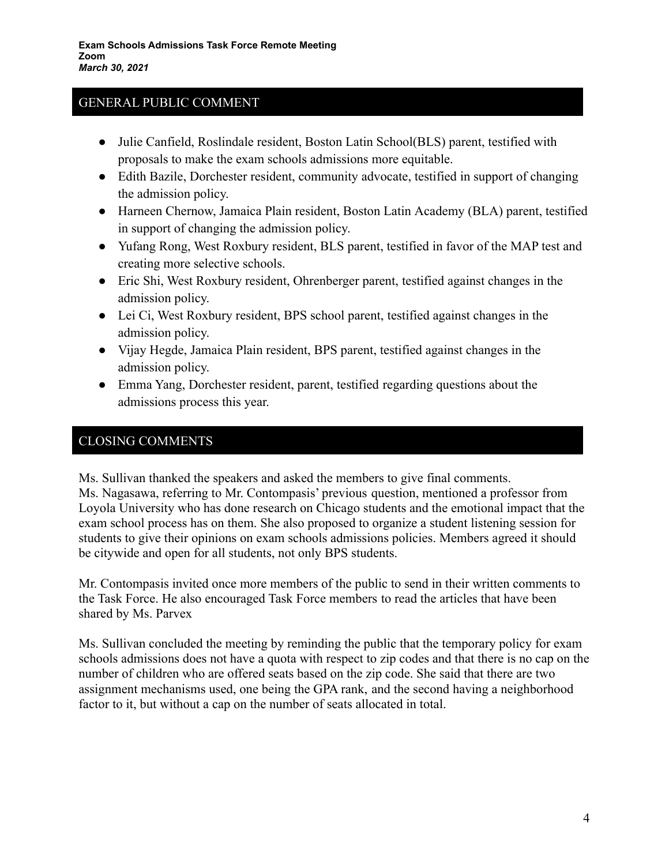### GENERAL PUBLIC COMMENT

- Julie Canfield, Roslindale resident, Boston Latin School(BLS) parent, testified with proposals to make the exam schools admissions more equitable.
- Edith Bazile, Dorchester resident, community advocate, testified in support of changing the admission policy.
- Harneen Chernow, Jamaica Plain resident, Boston Latin Academy (BLA) parent, testified in support of changing the admission policy.
- Yufang Rong, West Roxbury resident, BLS parent, testified in favor of the MAP test and creating more selective schools.
- Eric Shi, West Roxbury resident, Ohrenberger parent, testified against changes in the admission policy.
- Lei Ci, West Roxbury resident, BPS school parent, testified against changes in the admission policy.
- Vijay Hegde, Jamaica Plain resident, BPS parent, testified against changes in the admission policy.
- Emma Yang, Dorchester resident, parent, testified regarding questions about the admissions process this year.

## CLOSING COMMENTS

Ms. Sullivan thanked the speakers and asked the members to give final comments. Ms. Nagasawa, referring to Mr. Contompasis' previous question, mentioned a professor from Loyola University who has done research on Chicago students and the emotional impact that the exam school process has on them. She also proposed to organize a student listening session for students to give their opinions on exam schools admissions policies. Members agreed it should be citywide and open for all students, not only BPS students.

Mr. Contompasis invited once more members of the public to send in their written comments to the Task Force. He also encouraged Task Force members to read the articles that have been shared by Ms. Parvex

Ms. Sullivan concluded the meeting by reminding the public that the temporary policy for exam schools admissions does not have a quota with respect to zip codes and that there is no cap on the number of children who are offered seats based on the zip code. She said that there are two assignment mechanisms used, one being the GPA rank, and the second having a neighborhood factor to it, but without a cap on the number of seats allocated in total.